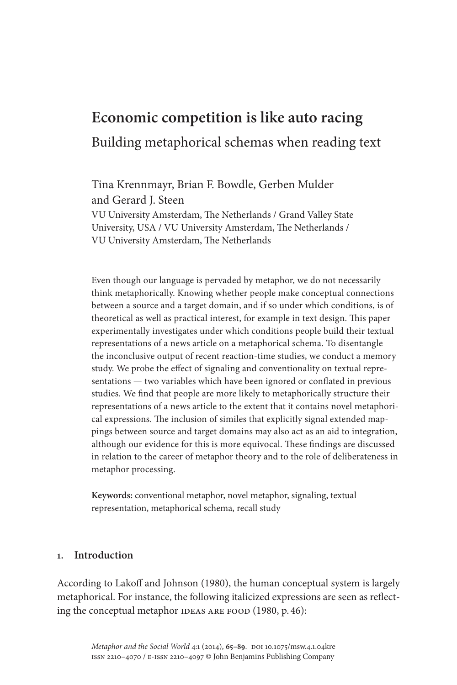# **Economic competition is like auto racing**

Building metaphorical schemas when reading text

Tina Krennmayr, Brian F. Bowdle, Gerben Mulder and Gerard I. Steen VU University Amsterdam, The Netherlands / Grand Valley State University, USA / VU University Amsterdam, The Netherlands / VU University Amsterdam, The Netherlands

Even though our language is pervaded by metaphor, we do not necessarily think metaphorically. Knowing whether people make conceptual connections between a source and a target domain, and if so under which conditions, is of theoretical as well as practical interest, for example in text design. This paper experimentally investigates under which conditions people build their textual representations of a news article on a metaphorical schema. To disentangle the inconclusive output of recent reaction-time studies, we conduct a memory study. We probe the effect of signaling and conventionality on textual representations — two variables which have been ignored or conflated in previous studies. We find that people are more likely to metaphorically structure their representations of a news article to the extent that it contains novel metaphorical expressions. The inclusion of similes that explicitly signal extended mappings between source and target domains may also act as an aid to integration, although our evidence for this is more equivocal. These findings are discussed in relation to the career of metaphor theory and to the role of deliberateness in metaphor processing.

**Keywords:** conventional metaphor, novel metaphor, signaling, textual representation, metaphorical schema, recall study

# **1. Introduction**

According to Lakoff and Johnson (1980), the human conceptual system is largely metaphorical. For instance, the following italicized expressions are seen as reflecting the conceptual metaphor IDEAS ARE FOOD (1980, p. 46):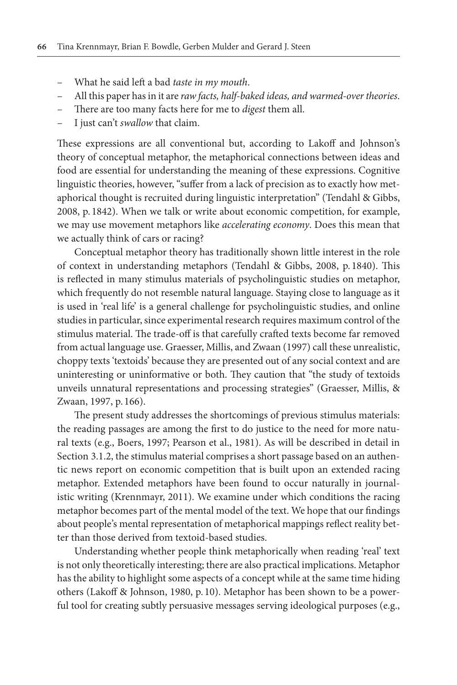- What he said left a bad *taste in my mouth*.
- All this paper has in it are *raw facts, half-baked ideas, and warmed-over theories*.
- There are too many facts here for me to *digest* them all.
- I just can't *swallow* that claim.

These expressions are all conventional but, according to Lakoff and Johnson's theory of conceptual metaphor, the metaphorical connections between ideas and food are essential for understanding the meaning of these expressions. Cognitive linguistic theories, however, "suffer from a lack of precision as to exactly how metaphorical thought is recruited during linguistic interpretation" (Tendahl & Gibbs, 2008, p. 1842). When we talk or write about economic competition, for example, we may use movement metaphors like *accelerating economy*. Does this mean that we actually think of cars or racing?

Conceptual metaphor theory has traditionally shown little interest in the role of context in understanding metaphors (Tendahl & Gibbs, 2008, p. 1840). This is reflected in many stimulus materials of psycholinguistic studies on metaphor, which frequently do not resemble natural language. Staying close to language as it is used in 'real life' is a general challenge for psycholinguistic studies, and online studies in particular, since experimental research requires maximum control of the stimulus material. The trade-off is that carefully crafted texts become far removed from actual language use. Graesser, Millis, and Zwaan (1997) call these unrealistic, choppy texts 'textoids' because they are presented out of any social context and are uninteresting or uninformative or both. They caution that "the study of textoids unveils unnatural representations and processing strategies" (Graesser, Millis, & Zwaan, 1997, p. 166).

The present study addresses the shortcomings of previous stimulus materials: the reading passages are among the first to do justice to the need for more natural texts (e.g., Boers, 1997; Pearson et al., 1981). As will be described in detail in Section 3.1.2, the stimulus material comprises a short passage based on an authentic news report on economic competition that is built upon an extended racing metaphor. Extended metaphors have been found to occur naturally in journalistic writing (Krennmayr, 2011). We examine under which conditions the racing metaphor becomes part of the mental model of the text. We hope that our findings about people's mental representation of metaphorical mappings reflect reality better than those derived from textoid-based studies.

Understanding whether people think metaphorically when reading 'real' text is not only theoretically interesting; there are also practical implications. Metaphor has the ability to highlight some aspects of a concept while at the same time hiding others (Lakoff & Johnson, 1980, p. 10). Metaphor has been shown to be a powerful tool for creating subtly persuasive messages serving ideological purposes (e.g.,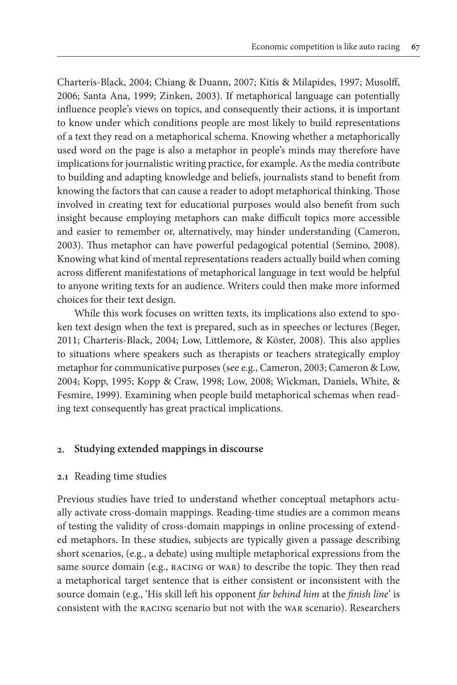Charteris-Black, 2004; Chiang & Duann, 2007; Kitis & Milapides, 1997; Musolff, 2006; Santa Ana, 1999; Zinken, 2003). If metaphorical language can potentially influence people's views on topics, and consequently their actions, it is important to know under which conditions people are most likely to build representations of a text they read on a metaphorical schema. Knowing whether a metaphorically used word on the page is also a metaphor in people's minds may therefore have implications for journalistic writing practice, for example. As the media contribute to building and adapting knowledge and beliefs, journalists stand to benefit from knowing the factors that can cause a reader to adopt metaphorical thinking. Those involved in creating text for educational purposes would also benefit from such insight because employing metaphors can make difficult topics more accessible and easier to remember or, alternatively, may hinder understanding (Cameron, 2003). Thus metaphor can have powerful pedagogical potential (Semino, 2008). Knowing what kind of mental representations readers actually build when coming across different manifestations of metaphorical language in text would be helpful to anyone writing texts for an audience. Writers could then make more informed choices for their text design.

While this work focuses on written texts, its implications also extend to spoken text design when the text is prepared, such as in speeches or lectures (Beger, 2011; Charteris-Black, 2004; Low, Littlemore, & Köster, 2008). This also applies to situations where speakers such as therapists or teachers strategically employ metaphor for communicative purposes (see e.g., Cameron, 2003; Cameron & Low, 2004; Kopp, 1995; Kopp & Craw, 1998; Low, 2008; Wickman, Daniels, White, & Fesmire, 1999). Examining when people build metaphorical schemas when reading text consequently has great practical implications.

## **2. Studying extended mappings in discourse**

## **2.1** Reading time studies

Previous studies have tried to understand whether conceptual metaphors actually activate cross-domain mappings. Reading-time studies are a common means of testing the validity of cross-domain mappings in online processing of extended metaphors. In these studies, subjects are typically given a passage describing short scenarios, (e.g., a debate) using multiple metaphorical expressions from the same source domain (e.g., RACING or WAR) to describe the topic. They then read a metaphorical target sentence that is either consistent or inconsistent with the source domain (e.g., 'His skill left his opponent *far behind him* at the *finish line*' is consistent with the racing scenario but not with the war scenario). Researchers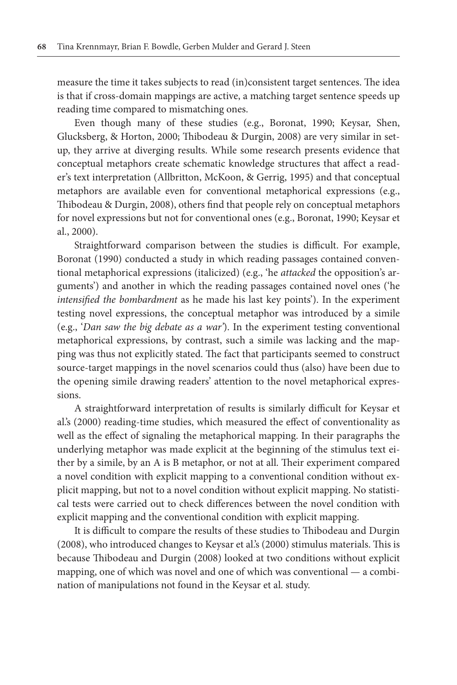measure the time it takes subjects to read (in)consistent target sentences. The idea is that if cross-domain mappings are active, a matching target sentence speeds up reading time compared to mismatching ones.

Even though many of these studies (e.g., Boronat, 1990; Keysar, Shen, Glucksberg, & Horton, 2000; Thibodeau & Durgin, 2008) are very similar in setup, they arrive at diverging results. While some research presents evidence that conceptual metaphors create schematic knowledge structures that affect a reader's text interpretation (Allbritton, McKoon, & Gerrig, 1995) and that conceptual metaphors are available even for conventional metaphorical expressions (e.g., Thibodeau & Durgin, 2008), others find that people rely on conceptual metaphors for novel expressions but not for conventional ones (e.g., Boronat, 1990; Keysar et al., 2000).

Straightforward comparison between the studies is difficult. For example, Boronat (1990) conducted a study in which reading passages contained conventional metaphorical expressions (italicized) (e.g., 'he *attacked* the opposition's arguments') and another in which the reading passages contained novel ones ('he *intensified the bombardment* as he made his last key points'). In the experiment testing novel expressions, the conceptual metaphor was introduced by a simile (e.g., '*Dan saw the big debate as a war'*). In the experiment testing conventional metaphorical expressions, by contrast, such a simile was lacking and the mapping was thus not explicitly stated. The fact that participants seemed to construct source-target mappings in the novel scenarios could thus (also) have been due to the opening simile drawing readers' attention to the novel metaphorical expressions.

A straightforward interpretation of results is similarly difficult for Keysar et al.'s (2000) reading-time studies, which measured the effect of conventionality as well as the effect of signaling the metaphorical mapping. In their paragraphs the underlying metaphor was made explicit at the beginning of the stimulus text either by a simile, by an A is B metaphor, or not at all. Their experiment compared a novel condition with explicit mapping to a conventional condition without explicit mapping, but not to a novel condition without explicit mapping. No statistical tests were carried out to check differences between the novel condition with explicit mapping and the conventional condition with explicit mapping.

It is difficult to compare the results of these studies to Thibodeau and Durgin (2008), who introduced changes to Keysar et al.'s (2000) stimulus materials. This is because Thibodeau and Durgin (2008) looked at two conditions without explicit mapping, one of which was novel and one of which was conventional — a combination of manipulations not found in the Keysar et al. study.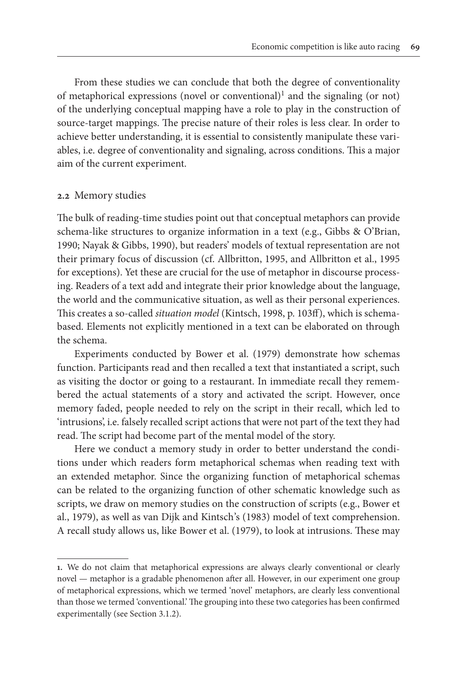From these studies we can conclude that both the degree of conventionality of metaphorical expressions (novel or conventional)<sup>1</sup> and the signaling (or not) of the underlying conceptual mapping have a role to play in the construction of source-target mappings. The precise nature of their roles is less clear. In order to achieve better understanding, it is essential to consistently manipulate these variables, i.e. degree of conventionality and signaling, across conditions. This a major aim of the current experiment.

## **2.2** Memory studies

The bulk of reading-time studies point out that conceptual metaphors can provide schema-like structures to organize information in a text (e.g., Gibbs & O'Brian, 1990; Nayak & Gibbs, 1990), but readers' models of textual representation are not their primary focus of discussion (cf. Allbritton, 1995, and Allbritton et al., 1995 for exceptions). Yet these are crucial for the use of metaphor in discourse processing. Readers of a text add and integrate their prior knowledge about the language, the world and the communicative situation, as well as their personal experiences. This creates a so-called *situation model* (Kintsch, 1998, p. 103ff), which is schemabased. Elements not explicitly mentioned in a text can be elaborated on through the schema.

Experiments conducted by Bower et al. (1979) demonstrate how schemas function. Participants read and then recalled a text that instantiated a script, such as visiting the doctor or going to a restaurant. In immediate recall they remembered the actual statements of a story and activated the script. However, once memory faded, people needed to rely on the script in their recall, which led to 'intrusions', i.e. falsely recalled script actions that were not part of the text they had read. The script had become part of the mental model of the story.

Here we conduct a memory study in order to better understand the conditions under which readers form metaphorical schemas when reading text with an extended metaphor. Since the organizing function of metaphorical schemas can be related to the organizing function of other schematic knowledge such as scripts, we draw on memory studies on the construction of scripts (e.g., Bower et al., 1979), as well as van Dijk and Kintsch's (1983) model of text comprehension. A recall study allows us, like Bower et al. (1979), to look at intrusions. These may

**<sup>1.</sup>** We do not claim that metaphorical expressions are always clearly conventional or clearly novel — metaphor is a gradable phenomenon after all. However, in our experiment one group of metaphorical expressions, which we termed 'novel' metaphors, are clearly less conventional than those we termed 'conventional.' The grouping into these two categories has been confirmed experimentally (see Section 3.1.2).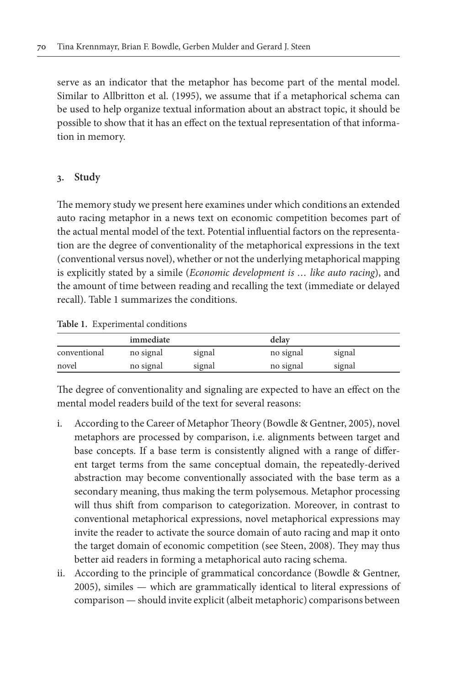serve as an indicator that the metaphor has become part of the mental model. Similar to Allbritton et al. (1995), we assume that if a metaphorical schema can be used to help organize textual information about an abstract topic, it should be possible to show that it has an effect on the textual representation of that information in memory.

# **3. Study**

The memory study we present here examines under which conditions an extended auto racing metaphor in a news text on economic competition becomes part of the actual mental model of the text. Potential influential factors on the representation are the degree of conventionality of the metaphorical expressions in the text (conventional versus novel), whether or not the underlying metaphorical mapping is explicitly stated by a simile (*Economic development is … like auto racing*), and the amount of time between reading and recalling the text (immediate or delayed recall). Table 1 summarizes the conditions.

**Table 1.** Experimental conditions

|              | immediate |        | delay     |        |  |
|--------------|-----------|--------|-----------|--------|--|
| conventional | no signal | signal | no signal | signal |  |
| novel        | no signal | signal | no signal | signal |  |

The degree of conventionality and signaling are expected to have an effect on the mental model readers build of the text for several reasons:

- i. According to the Career of Metaphor Theory (Bowdle & Gentner, 2005), novel metaphors are processed by comparison, i.e. alignments between target and base concepts. If a base term is consistently aligned with a range of different target terms from the same conceptual domain, the repeatedly-derived abstraction may become conventionally associated with the base term as a secondary meaning, thus making the term polysemous. Metaphor processing will thus shift from comparison to categorization. Moreover, in contrast to conventional metaphorical expressions, novel metaphorical expressions may invite the reader to activate the source domain of auto racing and map it onto the target domain of economic competition (see Steen, 2008). They may thus better aid readers in forming a metaphorical auto racing schema.
- ii. According to the principle of grammatical concordance (Bowdle & Gentner, 2005), similes — which are grammatically identical to literal expressions of comparison — should invite explicit (albeit metaphoric) comparisons between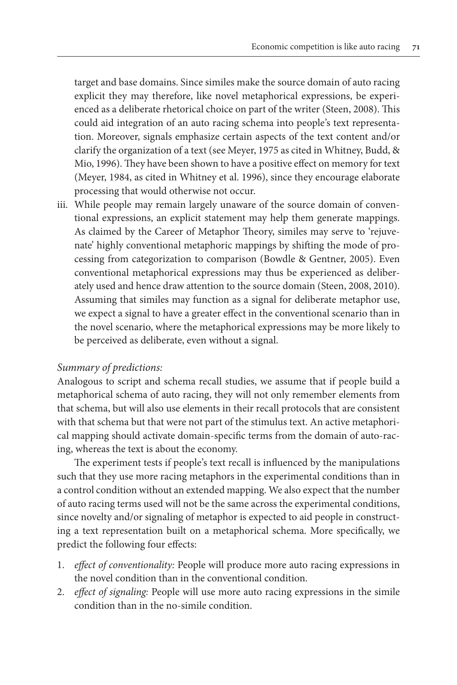target and base domains. Since similes make the source domain of auto racing explicit they may therefore, like novel metaphorical expressions, be experienced as a deliberate rhetorical choice on part of the writer (Steen, 2008). This could aid integration of an auto racing schema into people's text representation. Moreover, signals emphasize certain aspects of the text content and/or clarify the organization of a text (see Meyer, 1975 as cited in Whitney, Budd, & Mio, 1996). They have been shown to have a positive effect on memory for text (Meyer, 1984, as cited in Whitney et al. 1996), since they encourage elaborate processing that would otherwise not occur.

iii. While people may remain largely unaware of the source domain of conventional expressions, an explicit statement may help them generate mappings. As claimed by the Career of Metaphor Theory, similes may serve to 'rejuvenate' highly conventional metaphoric mappings by shifting the mode of processing from categorization to comparison (Bowdle & Gentner, 2005). Even conventional metaphorical expressions may thus be experienced as deliberately used and hence draw attention to the source domain (Steen, 2008, 2010). Assuming that similes may function as a signal for deliberate metaphor use, we expect a signal to have a greater effect in the conventional scenario than in the novel scenario, where the metaphorical expressions may be more likely to be perceived as deliberate, even without a signal.

# *Summary of predictions:*

Analogous to script and schema recall studies, we assume that if people build a metaphorical schema of auto racing, they will not only remember elements from that schema, but will also use elements in their recall protocols that are consistent with that schema but that were not part of the stimulus text. An active metaphorical mapping should activate domain-specific terms from the domain of auto-racing, whereas the text is about the economy.

The experiment tests if people's text recall is influenced by the manipulations such that they use more racing metaphors in the experimental conditions than in a control condition without an extended mapping. We also expect that the number of auto racing terms used will not be the same across the experimental conditions, since novelty and/or signaling of metaphor is expected to aid people in constructing a text representation built on a metaphorical schema. More specifically, we predict the following four effects:

- 1. *effect of conventionality:* People will produce more auto racing expressions in the novel condition than in the conventional condition.
- 2. *effect of signaling:* People will use more auto racing expressions in the simile condition than in the no-simile condition.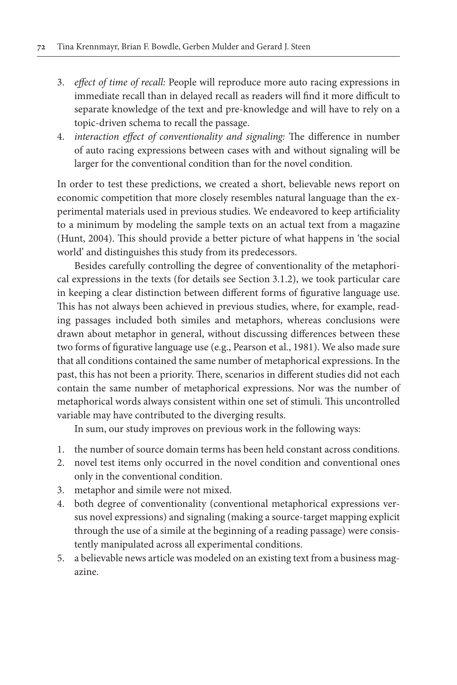- 3. *effect of time of recall:* People will reproduce more auto racing expressions in immediate recall than in delayed recall as readers will find it more difficult to separate knowledge of the text and pre-knowledge and will have to rely on a topic-driven schema to recall the passage.
- 4. *interaction effect of conventionality and signaling:* The difference in number of auto racing expressions between cases with and without signaling will be larger for the conventional condition than for the novel condition.

In order to test these predictions, we created a short, believable news report on economic competition that more closely resembles natural language than the experimental materials used in previous studies. We endeavored to keep artificiality to a minimum by modeling the sample texts on an actual text from a magazine (Hunt, 2004). This should provide a better picture of what happens in 'the social world' and distinguishes this study from its predecessors.

Besides carefully controlling the degree of conventionality of the metaphorical expressions in the texts (for details see Section 3.1.2), we took particular care in keeping a clear distinction between different forms of figurative language use. This has not always been achieved in previous studies, where, for example, reading passages included both similes and metaphors, whereas conclusions were drawn about metaphor in general, without discussing differences between these two forms of figurative language use (e.g., Pearson et al., 1981). We also made sure that all conditions contained the same number of metaphorical expressions. In the past, this has not been a priority. There, scenarios in different studies did not each contain the same number of metaphorical expressions. Nor was the number of metaphorical words always consistent within one set of stimuli. This uncontrolled variable may have contributed to the diverging results.

In sum, our study improves on previous work in the following ways:

- 1. the number of source domain terms has been held constant across conditions.
- 2. novel test items only occurred in the novel condition and conventional ones only in the conventional condition.
- 3. metaphor and simile were not mixed.
- 4. both degree of conventionality (conventional metaphorical expressions versus novel expressions) and signaling (making a source-target mapping explicit through the use of a simile at the beginning of a reading passage) were consistently manipulated across all experimental conditions.
- 5. a believable news article was modeled on an existing text from a business magazine.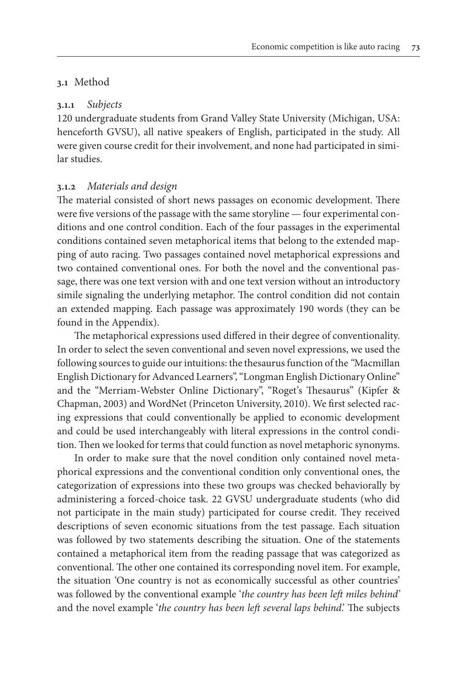## **3.1** Method

## **3.1.1** *Subjects*

120 undergraduate students from Grand Valley State University (Michigan, USA: henceforth GVSU), all native speakers of English, participated in the study. All were given course credit for their involvement, and none had participated in similar studies.

## **3.1.2** *Materials and design*

The material consisted of short news passages on economic development. There were five versions of the passage with the same storyline — four experimental conditions and one control condition. Each of the four passages in the experimental conditions contained seven metaphorical items that belong to the extended mapping of auto racing. Two passages contained novel metaphorical expressions and two contained conventional ones. For both the novel and the conventional passage, there was one text version with and one text version without an introductory simile signaling the underlying metaphor. The control condition did not contain an extended mapping. Each passage was approximately 190 words (they can be found in the Appendix).

The metaphorical expressions used differed in their degree of conventionality. In order to select the seven conventional and seven novel expressions, we used the following sources to guide our intuitions: the thesaurus function of the *"*Macmillan English Dictionary for Advanced Learners", "Longman English Dictionary Online" and the "Merriam-Webster Online Dictionary", "Roget's Thesaurus" (Kipfer & Chapman, 2003) and WordNet (Princeton University, 2010). We first selected racing expressions that could conventionally be applied to economic development and could be used interchangeably with literal expressions in the control condition. Then we looked for terms that could function as novel metaphoric synonyms.

In order to make sure that the novel condition only contained novel metaphorical expressions and the conventional condition only conventional ones, the categorization of expressions into these two groups was checked behaviorally by administering a forced-choice task. 22 GVSU undergraduate students (who did not participate in the main study) participated for course credit. They received descriptions of seven economic situations from the test passage. Each situation was followed by two statements describing the situation. One of the statements contained a metaphorical item from the reading passage that was categorized as conventional. The other one contained its corresponding novel item. For example, the situation 'One country is not as economically successful as other countries' was followed by the conventional example '*the country has been left miles behind'* and the novel example '*the country has been left several laps behind*.' The subjects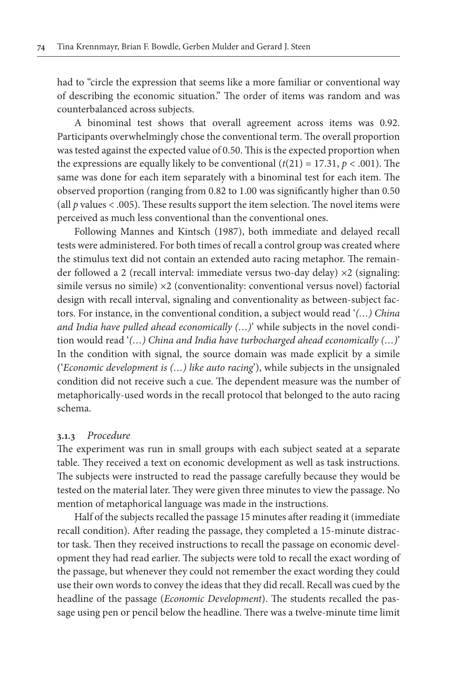had to "circle the expression that seems like a more familiar or conventional way of describing the economic situation." The order of items was random and was counterbalanced across subjects.

A binominal test shows that overall agreement across items was 0.92. Participants overwhelmingly chose the conventional term. The overall proportion was tested against the expected value of 0.50. This is the expected proportion when the expressions are equally likely to be conventional  $(t(21) = 17.31, p < .001)$ . The same was done for each item separately with a binominal test for each item. The observed proportion (ranging from 0.82 to 1.00 was significantly higher than 0.50 (all  $p$  values < .005). These results support the item selection. The novel items were perceived as much less conventional than the conventional ones.

Following Mannes and Kintsch (1987), both immediate and delayed recall tests were administered. For both times of recall a control group was created where the stimulus text did not contain an extended auto racing metaphor. The remainder followed a 2 (recall interval: immediate versus two-day delay) ×2 (signaling: simile versus no simile) ×2 (conventionality: conventional versus novel) factorial design with recall interval, signaling and conventionality as between-subject factors. For instance, in the conventional condition, a subject would read '*(…) China and India have pulled ahead economically (…)*' while subjects in the novel condition would read '*(…) China and India have turbocharged ahead economically (…)*' In the condition with signal, the source domain was made explicit by a simile ('*Economic development is (…) like auto racing*'), while subjects in the unsignaled condition did not receive such a cue. The dependent measure was the number of metaphorically-used words in the recall protocol that belonged to the auto racing schema.

## **3.1.3** *Procedure*

The experiment was run in small groups with each subject seated at a separate table. They received a text on economic development as well as task instructions. The subjects were instructed to read the passage carefully because they would be tested on the material later. They were given three minutes to view the passage. No mention of metaphorical language was made in the instructions.

Half of the subjects recalled the passage 15 minutes after reading it (immediate recall condition). After reading the passage, they completed a 15-minute distractor task. Then they received instructions to recall the passage on economic development they had read earlier. The subjects were told to recall the exact wording of the passage, but whenever they could not remember the exact wording they could use their own words to convey the ideas that they did recall. Recall was cued by the headline of the passage (*Economic Development*). The students recalled the passage using pen or pencil below the headline. There was a twelve-minute time limit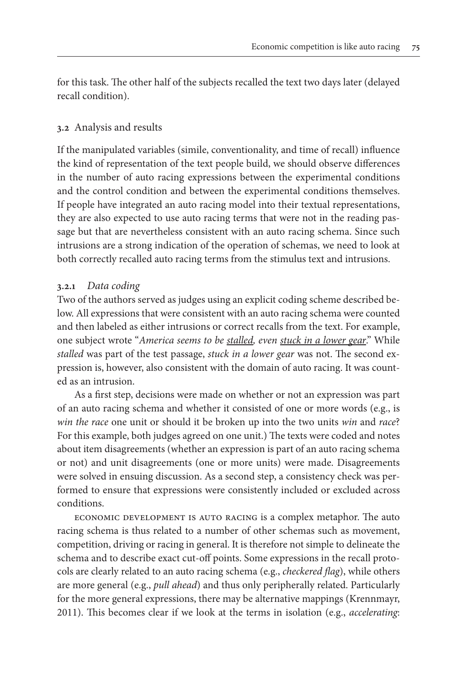for this task. The other half of the subjects recalled the text two days later (delayed recall condition).

# **3.2** Analysis and results

If the manipulated variables (simile, conventionality, and time of recall) influence the kind of representation of the text people build, we should observe differences in the number of auto racing expressions between the experimental conditions and the control condition and between the experimental conditions themselves. If people have integrated an auto racing model into their textual representations, they are also expected to use auto racing terms that were not in the reading passage but that are nevertheless consistent with an auto racing schema. Since such intrusions are a strong indication of the operation of schemas, we need to look at both correctly recalled auto racing terms from the stimulus text and intrusions.

# **3.2.1** *Data coding*

Two of the authors served as judges using an explicit coding scheme described below. All expressions that were consistent with an auto racing schema were counted and then labeled as either intrusions or correct recalls from the text. For example, one subject wrote "*America seems to be stalled, even stuck in a lower gear*." While *stalled* was part of the test passage, *stuck in a lower gear* was not. The second expression is, however, also consistent with the domain of auto racing. It was counted as an intrusion.

As a first step, decisions were made on whether or not an expression was part of an auto racing schema and whether it consisted of one or more words (e.g., is *win the race* one unit or should it be broken up into the two units *win* and *race*? For this example, both judges agreed on one unit.) The texts were coded and notes about item disagreements (whether an expression is part of an auto racing schema or not) and unit disagreements (one or more units) were made. Disagreements were solved in ensuing discussion. As a second step, a consistency check was performed to ensure that expressions were consistently included or excluded across conditions.

economic development is auto racing is a complex metaphor. The auto racing schema is thus related to a number of other schemas such as movement, competition, driving or racing in general. It is therefore not simple to delineate the schema and to describe exact cut-off points. Some expressions in the recall protocols are clearly related to an auto racing schema (e.g., *checkered flag*), while others are more general (e.g., *pull ahead*) and thus only peripherally related. Particularly for the more general expressions, there may be alternative mappings (Krennmayr, 2011). This becomes clear if we look at the terms in isolation (e.g., *accelerating*: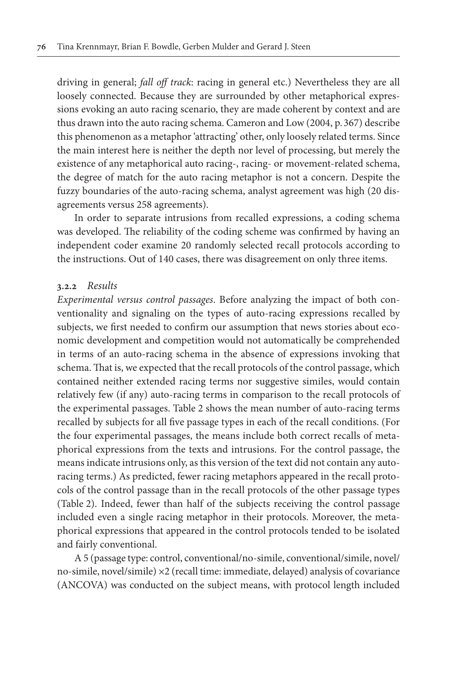driving in general; *fall off track*: racing in general etc.) Nevertheless they are all loosely connected. Because they are surrounded by other metaphorical expressions evoking an auto racing scenario, they are made coherent by context and are thus drawn into the auto racing schema. Cameron and Low (2004, p. 367) describe this phenomenon as a metaphor 'attracting' other, only loosely related terms. Since the main interest here is neither the depth nor level of processing, but merely the existence of any metaphorical auto racing-, racing- or movement-related schema, the degree of match for the auto racing metaphor is not a concern. Despite the fuzzy boundaries of the auto-racing schema, analyst agreement was high (20 disagreements versus 258 agreements).

In order to separate intrusions from recalled expressions, a coding schema was developed. The reliability of the coding scheme was confirmed by having an independent coder examine 20 randomly selected recall protocols according to the instructions. Out of 140 cases, there was disagreement on only three items.

## **3.2.2** *Results*

*Experimental versus control passages*. Before analyzing the impact of both conventionality and signaling on the types of auto-racing expressions recalled by subjects, we first needed to confirm our assumption that news stories about economic development and competition would not automatically be comprehended in terms of an auto-racing schema in the absence of expressions invoking that schema. That is, we expected that the recall protocols of the control passage, which contained neither extended racing terms nor suggestive similes, would contain relatively few (if any) auto-racing terms in comparison to the recall protocols of the experimental passages. Table 2 shows the mean number of auto-racing terms recalled by subjects for all five passage types in each of the recall conditions. (For the four experimental passages, the means include both correct recalls of metaphorical expressions from the texts and intrusions. For the control passage, the means indicate intrusions only, as this version of the text did not contain any autoracing terms.) As predicted, fewer racing metaphors appeared in the recall protocols of the control passage than in the recall protocols of the other passage types (Table 2). Indeed, fewer than half of the subjects receiving the control passage included even a single racing metaphor in their protocols. Moreover, the metaphorical expressions that appeared in the control protocols tended to be isolated and fairly conventional.

A 5 (passage type: control, conventional/no-simile, conventional/simile, novel/ no-simile, novel/simile) ×2 (recall time: immediate, delayed) analysis of covariance (ANCOVA) was conducted on the subject means, with protocol length included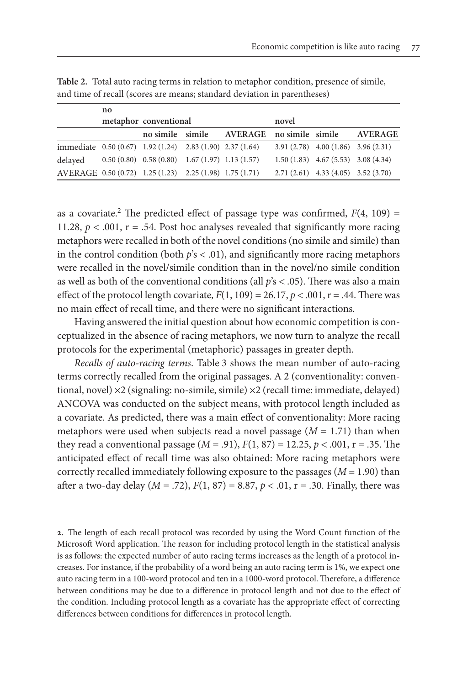|                                                           | no |                       |  |                                           |                                        |                                        |         |  |
|-----------------------------------------------------------|----|-----------------------|--|-------------------------------------------|----------------------------------------|----------------------------------------|---------|--|
|                                                           |    | metaphor conventional |  |                                           | novel                                  |                                        |         |  |
|                                                           |    |                       |  | no simile simile AVERAGE no simile simile |                                        |                                        | AVERAGE |  |
| immediate 0.50 (0.67) 1.92 (1.24) 2.83 (1.90) 2.37 (1.64) |    |                       |  |                                           |                                        | $3.91(2.78)$ $4.00(1.86)$ $3.96(2.31)$ |         |  |
| delayed 0.50 (0.80) 0.58 (0.80) 1.67 (1.97) 1.13 (1.57)   |    |                       |  |                                           |                                        | $1.50(1.83)$ $4.67(5.53)$ $3.08(4.34)$ |         |  |
| AVERAGE 0.50 (0.72) 1.25 (1.23) 2.25 (1.98) 1.75 (1.71)   |    |                       |  |                                           | $2.71(2.61)$ $4.33(4.05)$ $3.52(3.70)$ |                                        |         |  |

**Table 2.** Total auto racing terms in relation to metaphor condition, presence of simile, and time of recall (scores are means; standard deviation in parentheses)

as a covariate.<sup>2</sup> The predicted effect of passage type was confirmed,  $F(4, 109) =$ 11.28,  $p < .001$ ,  $r = .54$ . Post hoc analyses revealed that significantly more racing metaphors were recalled in both of the novel conditions (no simile and simile) than in the control condition (both  $p's < .01$ ), and significantly more racing metaphors were recalled in the novel/simile condition than in the novel/no simile condition as well as both of the conventional conditions (all *p*'s < .05). There was also a main effect of the protocol length covariate,  $F(1, 109) = 26.17$ ,  $p < .001$ ,  $r = .44$ . There was no main effect of recall time, and there were no significant interactions.

Having answered the initial question about how economic competition is conceptualized in the absence of racing metaphors, we now turn to analyze the recall protocols for the experimental (metaphoric) passages in greater depth.

*Recalls of auto-racing terms*. Table 3 shows the mean number of auto-racing terms correctly recalled from the original passages. A 2 (conventionality: conventional, novel)  $\times 2$  (signaling: no-simile, simile)  $\times 2$  (recall time: immediate, delayed) ANCOVA was conducted on the subject means, with protocol length included as a covariate. As predicted, there was a main effect of conventionality: More racing metaphors were used when subjects read a novel passage  $(M = 1.71)$  than when they read a conventional passage ( $M = .91$ ),  $F(1, 87) = 12.25$ ,  $p < .001$ ,  $r = .35$ . The anticipated effect of recall time was also obtained: More racing metaphors were correctly recalled immediately following exposure to the passages  $(M = 1.90)$  than after a two-day delay  $(M = .72)$ ,  $F(1, 87) = 8.87$ ,  $p < .01$ ,  $r = .30$ . Finally, there was

**<sup>2.</sup>** The length of each recall protocol was recorded by using the Word Count function of the Microsoft Word application. The reason for including protocol length in the statistical analysis is as follows: the expected number of auto racing terms increases as the length of a protocol increases. For instance, if the probability of a word being an auto racing term is 1%, we expect one auto racing term in a 100-word protocol and ten in a 1000-word protocol. Therefore, a difference between conditions may be due to a difference in protocol length and not due to the effect of the condition. Including protocol length as a covariate has the appropriate effect of correcting differences between conditions for differences in protocol length.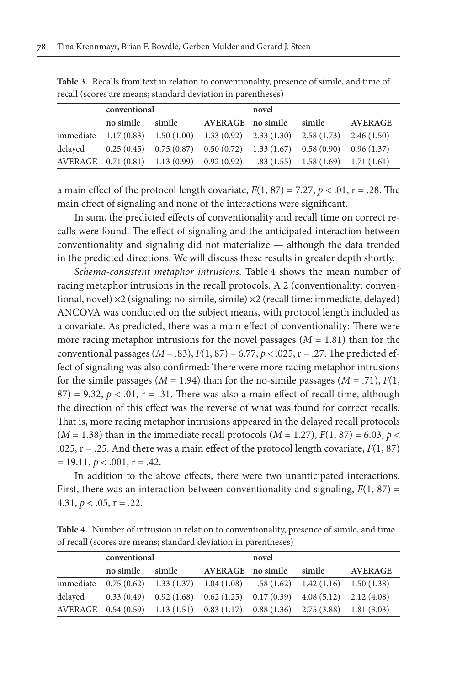| conventional     |  |                                                                                       | novel |  |                |  |
|------------------|--|---------------------------------------------------------------------------------------|-------|--|----------------|--|
| no simile simile |  | AVERAGE no simile simile                                                              |       |  | <b>AVERAGE</b> |  |
|                  |  | immediate 1.17 (0.83) 1.50 (1.00) 1.33 (0.92) 2.33 (1.30) 2.58 (1.73) 2.46 (1.50)     |       |  |                |  |
|                  |  | delayed $0.25(0.45)$ $0.75(0.87)$ $0.50(0.72)$ $1.33(1.67)$ $0.58(0.90)$ $0.96(1.37)$ |       |  |                |  |
|                  |  | AVERAGE 0.71 (0.81) 1.13 (0.99) 0.92 (0.92) 1.83 (1.55) 1.58 (1.69) 1.71 (1.61)       |       |  |                |  |

**Table 3.** Recalls from text in relation to conventionality, presence of simile, and time of recall (scores are means; standard deviation in parentheses)

a main effect of the protocol length covariate,  $F(1, 87) = 7.27$ ,  $p < .01$ ,  $r = .28$ . The main effect of signaling and none of the interactions were significant.

In sum, the predicted effects of conventionality and recall time on correct recalls were found. The effect of signaling and the anticipated interaction between conventionality and signaling did not materialize — although the data trended in the predicted directions. We will discuss these results in greater depth shortly.

*Schema-consistent metaphor intrusions*. Table 4 shows the mean number of racing metaphor intrusions in the recall protocols. A 2 (conventionality: conventional, novel) ×2 (signaling: no-simile, simile) ×2 (recall time: immediate, delayed) ANCOVA was conducted on the subject means, with protocol length included as a covariate. As predicted, there was a main effect of conventionality: There were more racing metaphor intrusions for the novel passages ( $M = 1.81$ ) than for the conventional passages ( $M = .83$ ),  $F(1, 87) = 6.77$ ,  $p < .025$ ,  $r = .27$ . The predicted effect of signaling was also confirmed: There were more racing metaphor intrusions for the simile passages ( $M = 1.94$ ) than for the no-simile passages ( $M = .71$ ),  $F(1, 1)$  $87$ ) = 9.32,  $p < 0.01$ , r = .31. There was also a main effect of recall time, although the direction of this effect was the reverse of what was found for correct recalls. That is, more racing metaphor intrusions appeared in the delayed recall protocols ( $M = 1.38$ ) than in the immediate recall protocols ( $M = 1.27$ ),  $F(1, 87) = 6.03$ ,  $p <$ .025,  $r = .25$ . And there was a main effect of the protocol length covariate,  $F(1, 87)$  $= 19.11, p < .001, r = .42.$ 

In addition to the above effects, there were two unanticipated interactions. First, there was an interaction between conventionality and signaling,  $F(1, 87) =$ 4.31,  $p < .05$ ,  $r = .22$ .

| conventional |  |                                                                                   | novel |  |         |  |
|--------------|--|-----------------------------------------------------------------------------------|-------|--|---------|--|
|              |  | no simile simile AVERAGE no simile simile                                         |       |  | AVERAGE |  |
|              |  | immediate 0.75 (0.62) 1.33 (1.37) 1.04 (1.08) 1.58 (1.62) 1.42 (1.16) 1.50 (1.38) |       |  |         |  |
|              |  | delayed 0.33 (0.49) 0.92 (1.68) 0.62 (1.25) 0.17 (0.39) 4.08 (5.12) 2.12 (4.08)   |       |  |         |  |
|              |  | AVERAGE 0.54 (0.59) 1.13 (1.51) 0.83 (1.17) 0.88 (1.36) 2.75 (3.88) 1.81 (3.03)   |       |  |         |  |

**Table 4.** Number of intrusion in relation to conventionality, presence of simile, and time of recall (scores are means; standard deviation in parentheses)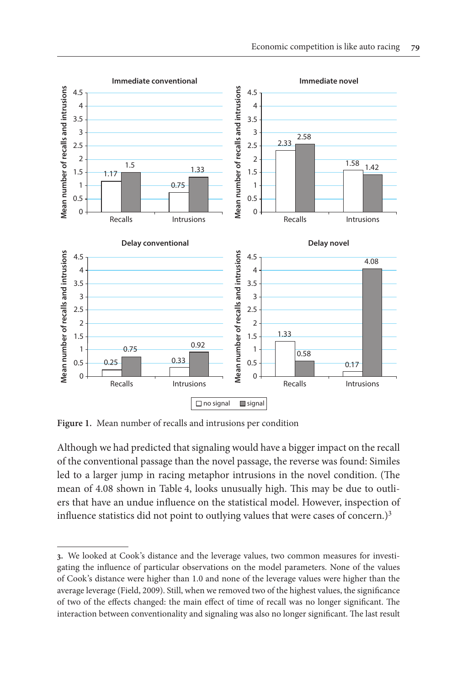

**Figure 1.** Mean number of recalls and intrusions per condition

Although we had predicted that signaling would have a bigger impact on the recall of the conventional passage than the novel passage, the reverse was found: Similes led to a larger jump in racing metaphor intrusions in the novel condition. (The mean of 4.08 shown in Table 4, looks unusually high. This may be due to outliers that have an undue influence on the statistical model. However, inspection of influence statistics did not point to outlying values that were cases of concern.)3

**<sup>3.</sup>** We looked at Cook's distance and the leverage values, two common measures for investigating the influence of particular observations on the model parameters. None of the values of Cook's distance were higher than 1.0 and none of the leverage values were higher than the average leverage (Field, 2009). Still, when we removed two of the highest values, the significance of two of the effects changed: the main effect of time of recall was no longer significant. The interaction between conventionality and signaling was also no longer significant. The last result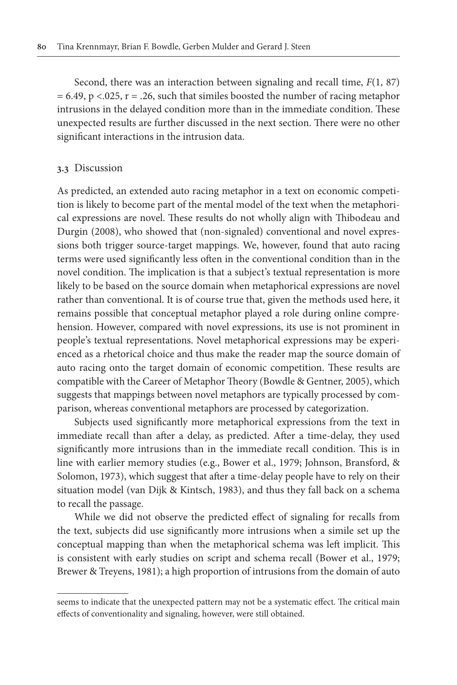Second, there was an interaction between signaling and recall time, *F*(1, 87)  $= 6.49$ , p <.025, r = .26, such that similes boosted the number of racing metaphor intrusions in the delayed condition more than in the immediate condition. These unexpected results are further discussed in the next section. There were no other significant interactions in the intrusion data.

# **3.3** Discussion

As predicted, an extended auto racing metaphor in a text on economic competition is likely to become part of the mental model of the text when the metaphorical expressions are novel. These results do not wholly align with Thibodeau and Durgin (2008), who showed that (non-signaled) conventional and novel expressions both trigger source-target mappings. We, however, found that auto racing terms were used significantly less often in the conventional condition than in the novel condition. The implication is that a subject's textual representation is more likely to be based on the source domain when metaphorical expressions are novel rather than conventional. It is of course true that, given the methods used here, it remains possible that conceptual metaphor played a role during online comprehension. However, compared with novel expressions, its use is not prominent in people's textual representations. Novel metaphorical expressions may be experienced as a rhetorical choice and thus make the reader map the source domain of auto racing onto the target domain of economic competition. These results are compatible with the Career of Metaphor Theory (Bowdle & Gentner, 2005), which suggests that mappings between novel metaphors are typically processed by comparison, whereas conventional metaphors are processed by categorization.

Subjects used significantly more metaphorical expressions from the text in immediate recall than after a delay, as predicted. After a time-delay, they used significantly more intrusions than in the immediate recall condition. This is in line with earlier memory studies (e.g., Bower et al., 1979; Johnson, Bransford, & Solomon, 1973), which suggest that after a time-delay people have to rely on their situation model (van Dijk & Kintsch, 1983), and thus they fall back on a schema to recall the passage.

While we did not observe the predicted effect of signaling for recalls from the text, subjects did use significantly more intrusions when a simile set up the conceptual mapping than when the metaphorical schema was left implicit. This is consistent with early studies on script and schema recall (Bower et al., 1979; Brewer & Treyens, 1981); a high proportion of intrusions from the domain of auto

seems to indicate that the unexpected pattern may not be a systematic effect. The critical main effects of conventionality and signaling, however, were still obtained.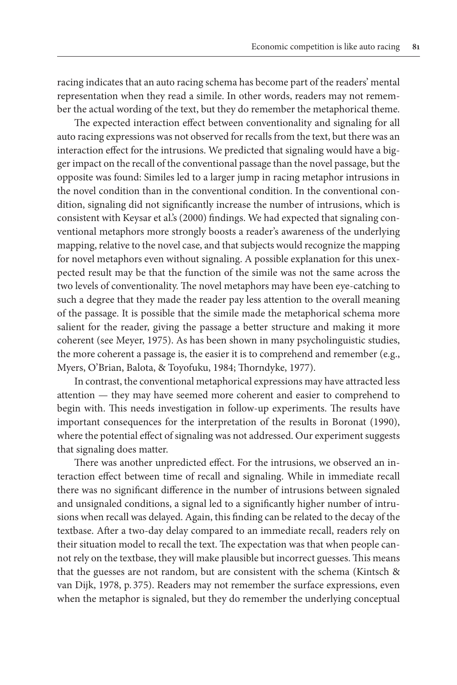racing indicates that an auto racing schema has become part of the readers' mental representation when they read a simile. In other words, readers may not remember the actual wording of the text, but they do remember the metaphorical theme.

The expected interaction effect between conventionality and signaling for all auto racing expressions was not observed for recalls from the text, but there was an interaction effect for the intrusions. We predicted that signaling would have a bigger impact on the recall of the conventional passage than the novel passage, but the opposite was found: Similes led to a larger jump in racing metaphor intrusions in the novel condition than in the conventional condition. In the conventional condition, signaling did not significantly increase the number of intrusions, which is consistent with Keysar et al.'s (2000) findings. We had expected that signaling conventional metaphors more strongly boosts a reader's awareness of the underlying mapping, relative to the novel case, and that subjects would recognize the mapping for novel metaphors even without signaling. A possible explanation for this unexpected result may be that the function of the simile was not the same across the two levels of conventionality. The novel metaphors may have been eye-catching to such a degree that they made the reader pay less attention to the overall meaning of the passage. It is possible that the simile made the metaphorical schema more salient for the reader, giving the passage a better structure and making it more coherent (see Meyer, 1975). As has been shown in many psycholinguistic studies, the more coherent a passage is, the easier it is to comprehend and remember (e.g., Myers, O'Brian, Balota, & Toyofuku, 1984; Thorndyke, 1977).

In contrast, the conventional metaphorical expressions may have attracted less attention — they may have seemed more coherent and easier to comprehend to begin with. This needs investigation in follow-up experiments. The results have important consequences for the interpretation of the results in Boronat (1990), where the potential effect of signaling was not addressed. Our experiment suggests that signaling does matter.

There was another unpredicted effect. For the intrusions, we observed an interaction effect between time of recall and signaling. While in immediate recall there was no significant difference in the number of intrusions between signaled and unsignaled conditions, a signal led to a significantly higher number of intrusions when recall was delayed. Again, this finding can be related to the decay of the textbase. After a two-day delay compared to an immediate recall, readers rely on their situation model to recall the text. The expectation was that when people cannot rely on the textbase, they will make plausible but incorrect guesses. This means that the guesses are not random, but are consistent with the schema (Kintsch & van Dijk, 1978, p. 375). Readers may not remember the surface expressions, even when the metaphor is signaled, but they do remember the underlying conceptual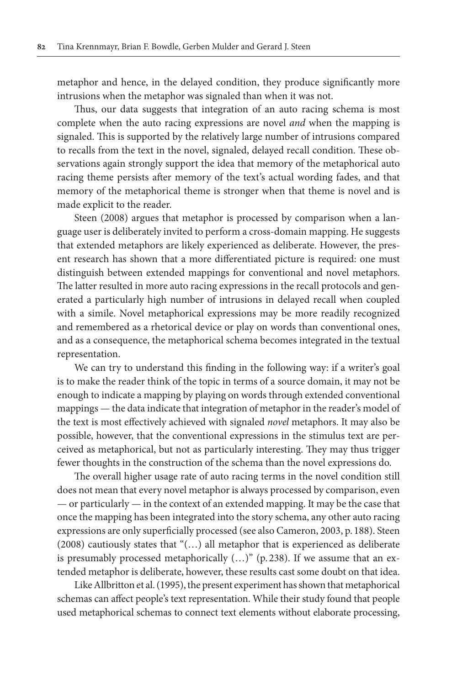metaphor and hence, in the delayed condition, they produce significantly more intrusions when the metaphor was signaled than when it was not.

Thus, our data suggests that integration of an auto racing schema is most complete when the auto racing expressions are novel *and* when the mapping is signaled. This is supported by the relatively large number of intrusions compared to recalls from the text in the novel, signaled, delayed recall condition. These observations again strongly support the idea that memory of the metaphorical auto racing theme persists after memory of the text's actual wording fades, and that memory of the metaphorical theme is stronger when that theme is novel and is made explicit to the reader.

Steen (2008) argues that metaphor is processed by comparison when a language user is deliberately invited to perform a cross-domain mapping. He suggests that extended metaphors are likely experienced as deliberate. However, the present research has shown that a more differentiated picture is required: one must distinguish between extended mappings for conventional and novel metaphors. The latter resulted in more auto racing expressions in the recall protocols and generated a particularly high number of intrusions in delayed recall when coupled with a simile. Novel metaphorical expressions may be more readily recognized and remembered as a rhetorical device or play on words than conventional ones, and as a consequence, the metaphorical schema becomes integrated in the textual representation.

We can try to understand this finding in the following way: if a writer's goal is to make the reader think of the topic in terms of a source domain, it may not be enough to indicate a mapping by playing on words through extended conventional mappings — the data indicate that integration of metaphor in the reader's model of the text is most effectively achieved with signaled *novel* metaphors. It may also be possible, however, that the conventional expressions in the stimulus text are perceived as metaphorical, but not as particularly interesting. They may thus trigger fewer thoughts in the construction of the schema than the novel expressions do.

The overall higher usage rate of auto racing terms in the novel condition still does not mean that every novel metaphor is always processed by comparison, even — or particularly — in the context of an extended mapping. It may be the case that once the mapping has been integrated into the story schema, any other auto racing expressions are only superficially processed (see also Cameron, 2003, p. 188). Steen (2008) cautiously states that "(…) all metaphor that is experienced as deliberate is presumably processed metaphorically  $(...)$ " (p. 238). If we assume that an extended metaphor is deliberate, however, these results cast some doubt on that idea.

Like Allbritton et al. (1995), the present experiment has shown that metaphorical schemas can affect people's text representation. While their study found that people used metaphorical schemas to connect text elements without elaborate processing,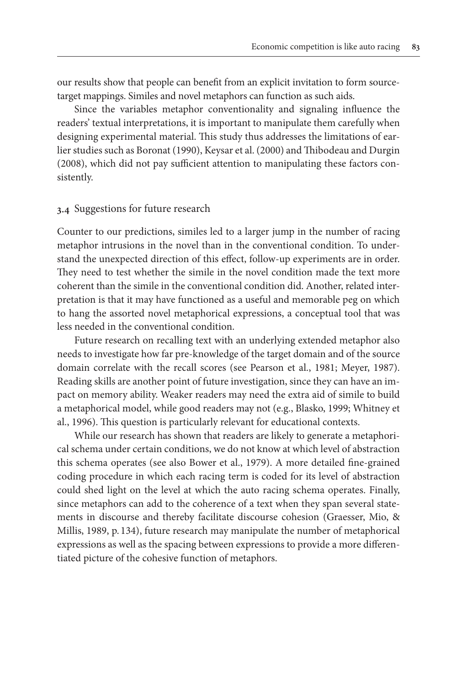our results show that people can benefit from an explicit invitation to form sourcetarget mappings. Similes and novel metaphors can function as such aids.

Since the variables metaphor conventionality and signaling influence the readers' textual interpretations, it is important to manipulate them carefully when designing experimental material. This study thus addresses the limitations of earlier studies such as Boronat (1990), Keysar et al. (2000) and Thibodeau and Durgin (2008), which did not pay sufficient attention to manipulating these factors consistently.

### **3.4** Suggestions for future research

Counter to our predictions, similes led to a larger jump in the number of racing metaphor intrusions in the novel than in the conventional condition. To understand the unexpected direction of this effect, follow-up experiments are in order. They need to test whether the simile in the novel condition made the text more coherent than the simile in the conventional condition did. Another, related interpretation is that it may have functioned as a useful and memorable peg on which to hang the assorted novel metaphorical expressions, a conceptual tool that was less needed in the conventional condition.

Future research on recalling text with an underlying extended metaphor also needs to investigate how far pre-knowledge of the target domain and of the source domain correlate with the recall scores (see Pearson et al., 1981; Meyer, 1987). Reading skills are another point of future investigation, since they can have an impact on memory ability. Weaker readers may need the extra aid of simile to build a metaphorical model, while good readers may not (e.g., Blasko, 1999; Whitney et al., 1996). This question is particularly relevant for educational contexts.

While our research has shown that readers are likely to generate a metaphorical schema under certain conditions, we do not know at which level of abstraction this schema operates (see also Bower et al., 1979). A more detailed fine-grained coding procedure in which each racing term is coded for its level of abstraction could shed light on the level at which the auto racing schema operates. Finally, since metaphors can add to the coherence of a text when they span several statements in discourse and thereby facilitate discourse cohesion (Graesser, Mio, & Millis, 1989, p. 134), future research may manipulate the number of metaphorical expressions as well as the spacing between expressions to provide a more differentiated picture of the cohesive function of metaphors.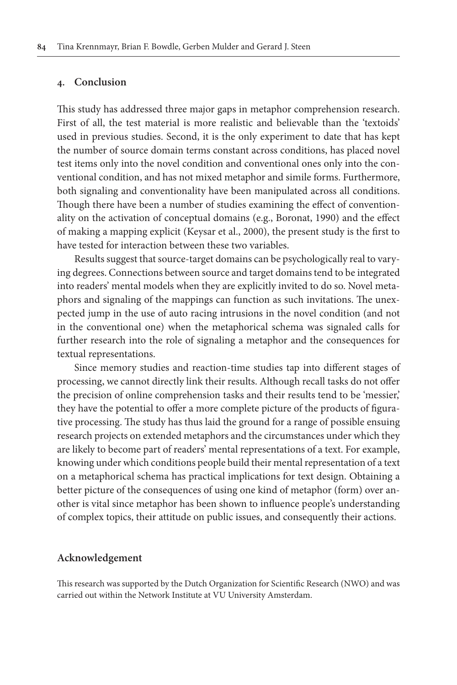## **4. Conclusion**

This study has addressed three major gaps in metaphor comprehension research. First of all, the test material is more realistic and believable than the 'textoids' used in previous studies. Second, it is the only experiment to date that has kept the number of source domain terms constant across conditions, has placed novel test items only into the novel condition and conventional ones only into the conventional condition, and has not mixed metaphor and simile forms. Furthermore, both signaling and conventionality have been manipulated across all conditions. Though there have been a number of studies examining the effect of conventionality on the activation of conceptual domains (e.g., Boronat, 1990) and the effect of making a mapping explicit (Keysar et al., 2000), the present study is the first to have tested for interaction between these two variables.

Results suggest that source-target domains can be psychologically real to varying degrees. Connections between source and target domains tend to be integrated into readers' mental models when they are explicitly invited to do so. Novel metaphors and signaling of the mappings can function as such invitations. The unexpected jump in the use of auto racing intrusions in the novel condition (and not in the conventional one) when the metaphorical schema was signaled calls for further research into the role of signaling a metaphor and the consequences for textual representations.

Since memory studies and reaction-time studies tap into different stages of processing, we cannot directly link their results. Although recall tasks do not offer the precision of online comprehension tasks and their results tend to be 'messier,' they have the potential to offer a more complete picture of the products of figurative processing. The study has thus laid the ground for a range of possible ensuing research projects on extended metaphors and the circumstances under which they are likely to become part of readers' mental representations of a text. For example, knowing under which conditions people build their mental representation of a text on a metaphorical schema has practical implications for text design. Obtaining a better picture of the consequences of using one kind of metaphor (form) over another is vital since metaphor has been shown to influence people's understanding of complex topics, their attitude on public issues, and consequently their actions.

## **Acknowledgement**

This research was supported by the Dutch Organization for Scientific Research (NWO) and was carried out within the Network Institute at VU University Amsterdam.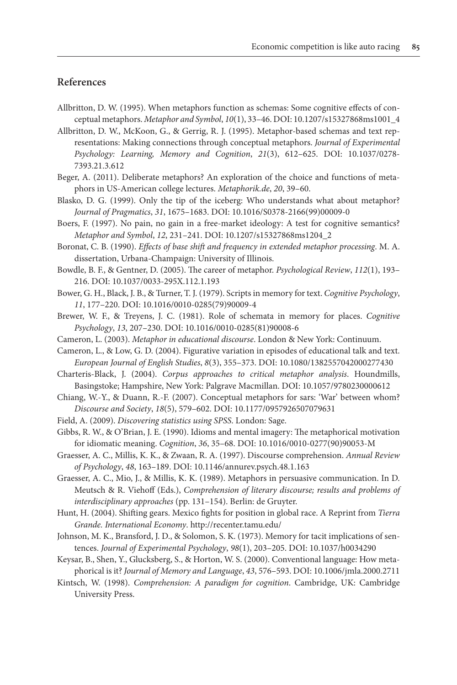# **References**

- Allbritton, D. W. (1995). When metaphors function as schemas: Some cognitive effects of conceptual metaphors. *Metaphor and Symbol*, *10*(1), 33–46. DOI: [10.1207/s15327868ms1001\\_4](http://dx.doi.org/10.1207/s15327868ms1001_4)
- Allbritton, D. W., McKoon, G., & Gerrig, R. J. (1995). Metaphor-based schemas and text representations: Making connections through conceptual metaphors. *Journal of Experimental Psychology: Learning, Memory and Cognition*, *21*(3), 612–625. DOI: [10.1037/0278-](http://dx.doi.org/10.1037/0278-7393.21.3.612) [7393.21.3.612](http://dx.doi.org/10.1037/0278-7393.21.3.612)
- Beger, A. (2011). Deliberate metaphors? An exploration of the choice and functions of metaphors in US-American college lectures. *Metaphorik.de*, *20*, 39–60.
- Blasko, D. G. (1999). Only the tip of the iceberg: Who understands what about metaphor? *Journal of Pragmatics*, *31*, 1675–1683. DOI: [10.1016/S0378-2166\(99\)00009-0](http://dx.doi.org/10.1016/S0378-2166(99)00009-0)
- Boers, F. (1997). No pain, no gain in a free-market ideology: A test for cognitive semantics? *Metaphor and Symbol*, *12*, 231–241. DOI: [10.1207/s15327868ms1204\\_2](http://dx.doi.org/10.1207/s15327868ms1204_2)
- Boronat, C. B. (1990). *Effects of base shift and frequency in extended metaphor processing*. M. A. dissertation, Urbana-Champaign: University of Illinois.
- Bowdle, B. F., & Gentner, D. (2005). The career of metaphor. *Psychological Review*, *112*(1), 193– 216. DOI: [10.1037/0033-295X.112.1.193](http://dx.doi.org/10.1037/0033-295X.112.1.193)
- Bower, G. H., Black, J. B., & Turner, T. J. (1979). Scripts in memory for text. *Cognitive Psychology*, *11*, 177–220. DOI: [10.1016/0010-0285\(79\)90009-4](http://dx.doi.org/10.1016/0010-0285(79)90009-4)
- Brewer, W. F., & Treyens, J. C. (1981). Role of schemata in memory for places. *Cognitive Psychology*, *13*, 207–230. DOI: [10.1016/0010-0285\(81\)90008-6](http://dx.doi.org/10.1016/0010-0285(81)90008-6)
- Cameron, L. (2003). *Metaphor in educational discourse*. London & New York: Continuum.
- Cameron, L., & Low, G. D. (2004). Figurative variation in episodes of educational talk and text. *European Journal of English Studies*, *8*(3), 355–373. DOI: [10.1080/1382557042000277430](http://dx.doi.org/10.1080/1382557042000277430)
- Charteris-Black, J. (2004). *Corpus approaches to critical metaphor analysis*. Houndmills, Basingstoke; Hampshire, New York: Palgrave Macmillan. DOI: [10.1057/9780230000612](http://dx.doi.org/10.1057/9780230000612)
- Chiang, W.-Y., & Duann, R.-F. (2007). Conceptual metaphors for sars: 'War' between whom? *Discourse and Society*, *18*(5), 579–602. DOI: [10.1177/0957926507079631](http://dx.doi.org/10.1177/0957926507079631)
- Field, A. (2009). *Discovering statistics using SPSS*. London: Sage.
- Gibbs, R. W., & O'Brian, J. E. (1990). Idioms and mental imagery: The metaphorical motivation for idiomatic meaning. *Cognition*, *36*, 35–68. DOI: [10.1016/0010-0277\(90\)90053-M](http://dx.doi.org/10.1016/0010-0277(90)90053-M)
- Graesser, A. C., Millis, K. K., & Zwaan, R. A. (1997). Discourse comprehension. *Annual Review of Psychology*, *48*, 163–189. DOI: [10.1146/annurev.psych.48.1.163](http://dx.doi.org/10.1146/annurev.psych.48.1.163)
- Graesser, A. C., Mio, J., & Millis, K. K. (1989). Metaphors in persuasive communication. In D. Meutsch & R. Viehoff (Eds.), *Comprehension of literary discourse; results and problems of interdisciplinary approaches* (pp. 131–154). Berlin: de Gruyter.
- Hunt, H. (2004). Shifting gears. Mexico fights for position in global race. A Reprint from *Tierra Grande. International Economy*. http://recenter.tamu.edu/
- Johnson, M. K., Bransford, J. D., & Solomon, S. K. (1973). Memory for tacit implications of sentences. *Journal of Experimental Psychology*, *98*(1), 203–205. DOI: [10.1037/h0034290](http://dx.doi.org/10.1037/h0034290)
- Keysar, B., Shen, Y., Glucksberg, S., & Horton, W. S. (2000). Conventional language: How metaphorical is it? *Journal of Memory and Language*, *43*, 576–593. DOI: [10.1006/jmla.2000.2711](http://dx.doi.org/10.1006/jmla.2000.2711)
- Kintsch, W. (1998). *Comprehension: A paradigm for cognition*. Cambridge, UK: Cambridge University Press.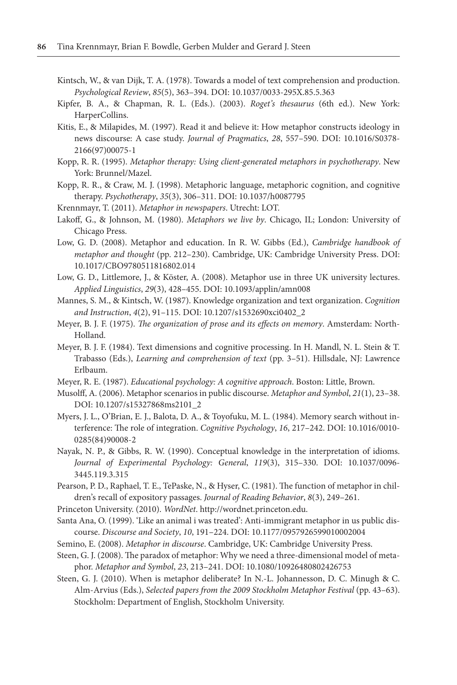- Kintsch, W., & van Dijk, T. A. (1978). Towards a model of text comprehension and production. *Psychological Review*, *85*(5), 363–394. DOI: [10.1037/0033-295X.85.5.363](http://dx.doi.org/10.1037/0033-295X.85.5.363)
- Kipfer, B. A., & Chapman, R. L. (Eds.). (2003). *Roget's thesaurus* (6th ed.). New York: HarperCollins.
- Kitis, E., & Milapides, M. (1997). Read it and believe it: How metaphor constructs ideology in news discourse: A case study. *Journal of Pragmatics*, *28*, 557–590. DOI: [10.1016/S0378-](http://dx.doi.org/10.1016/S0378-2166(97)00075-1) [2166\(97\)00075-1](http://dx.doi.org/10.1016/S0378-2166(97)00075-1)
- Kopp, R. R. (1995). *Metaphor therapy: Using client-generated metaphors in psychotherapy*. New York: Brunnel/Mazel.
- Kopp, R. R., & Craw, M. J. (1998). Metaphoric language, metaphoric cognition, and cognitive therapy. *Psychotherapy*, *35*(3), 306–311. DOI: [10.1037/h0087795](http://dx.doi.org/10.1037/h0087795)
- Krennmayr, T. (2011). *Metaphor in newspapers*. Utrecht: LOT.
- Lakoff, G., & Johnson, M. (1980). *Metaphors we live by*. Chicago, IL; London: University of Chicago Press.
- Low, G. D. (2008). Metaphor and education. In R. W. Gibbs (Ed.), *Cambridge handbook of metaphor and thought* (pp. 212–230). Cambridge, UK: Cambridge University Press. DOI: [10.1017/CBO9780511816802.014](http://dx.doi.org/10.1017/CBO9780511816802.014)
- Low, G. D., Littlemore, J., & Köster, A. (2008). Metaphor use in three UK university lectures. *Applied Linguistics*, *29*(3), 428–455. DOI: [10.1093/applin/amn008](http://dx.doi.org/10.1093/applin/amn008)
- Mannes, S. M., & Kintsch, W. (1987). Knowledge organization and text organization. *Cognition and Instruction*, *4*(2), 91–115. DOI: [10.1207/s1532690xci0402\\_2](http://dx.doi.org/10.1207/s1532690xci0402_2)
- Meyer, B. J. F. (1975). *The organization of prose and its effects on memory*. Amsterdam: North-Holland.
- Meyer, B. J. F. (1984). Text dimensions and cognitive processing. In H. Mandl, N. L. Stein & T. Trabasso (Eds.), *Learning and comprehension of text* (pp. 3–51). Hillsdale, NJ: Lawrence Erlbaum.
- Meyer, R. E. (1987). *Educational psychology: A cognitive approach*. Boston: Little, Brown.
- Musolff, A. (2006). Metaphor scenarios in public discourse. *Metaphor and Symbol*, *21*(1), 23–38. DOI: [10.1207/s15327868ms2101\\_2](http://dx.doi.org/10.1207/s15327868ms2101_2)
- Myers, J. L., O'Brian, E. J., Balota, D. A., & Toyofuku, M. L. (1984). Memory search without interference: The role of integration. *Cognitive Psychology*, *16*, 217–242. DOI: [10.1016/0010-](http://dx.doi.org/10.1016/0010-0285(84)90008-2) [0285\(84\)90008-2](http://dx.doi.org/10.1016/0010-0285(84)90008-2)
- Nayak, N. P., & Gibbs, R. W. (1990). Conceptual knowledge in the interpretation of idioms. *Journal of Experimental Psychology: General*, *119*(3), 315–330. DOI: [10.1037/0096-](http://dx.doi.org/10.1037/0096-3445.119.3.315) [3445.119.3.315](http://dx.doi.org/10.1037/0096-3445.119.3.315)
- Pearson, P. D., Raphael, T. E., TePaske, N., & Hyser, C. (1981). The function of metaphor in children's recall of expository passages. *Journal of Reading Behavior*, *8*(3), 249–261.
- Princeton University. (2010). *WordNet*.<http://wordnet.princeton.edu>.
- Santa Ana, O. (1999). 'Like an animal i was treated': Anti-immigrant metaphor in us public discourse. *Discourse and Society*, *10*, 191–224. DOI: [10.1177/0957926599010002004](http://dx.doi.org/10.1177/0957926599010002004)
- Semino, E. (2008). *Metaphor in discourse*. Cambridge, UK: Cambridge University Press.
- Steen, G. J. (2008). The paradox of metaphor: Why we need a three-dimensional model of metaphor. *Metaphor and Symbol*, *23*, 213–241. DOI: [10.1080/10926480802426753](http://dx.doi.org/10.1080/10926480802426753)
- Steen, G. J. (2010). When is metaphor deliberate? In N.-L. Johannesson, D. C. Minugh & C. Alm-Arvius (Eds.), *Selected papers from the 2009 Stockholm Metaphor Festival* (pp. 43–63). Stockholm: Department of English, Stockholm University.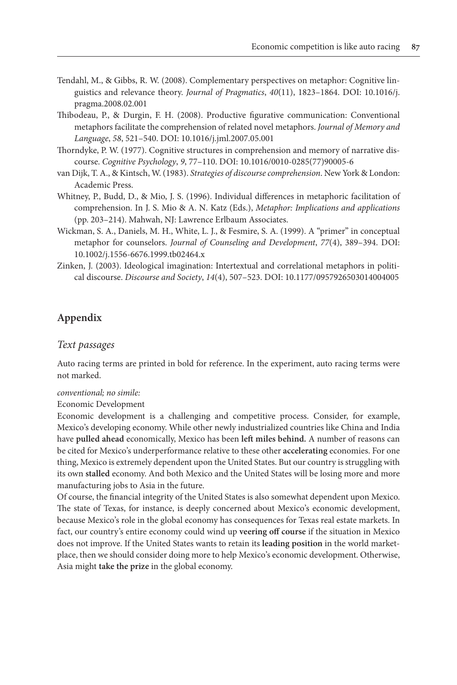- Tendahl, M., & Gibbs, R. W. (2008). Complementary perspectives on metaphor: Cognitive linguistics and relevance theory. *Journal of Pragmatics*, *40*(11), 1823–1864. DOI: [10.1016/j.](http://dx.doi.org/10.1016/j.pragma.2008.02.001) [pragma.2008.02.001](http://dx.doi.org/10.1016/j.pragma.2008.02.001)
- Thibodeau, P., & Durgin, F. H. (2008). Productive figurative communication: Conventional metaphors facilitate the comprehension of related novel metaphors. *Journal of Memory and Language*, *58*, 521–540. DOI: [10.1016/j.jml.2007.05.001](http://dx.doi.org/10.1016/j.jml.2007.05.001)
- Thorndyke, P. W. (1977). Cognitive structures in comprehension and memory of narrative discourse. *Cognitive Psychology*, *9*, 77–110. DOI: [10.1016/0010-0285\(77\)90005-6](http://dx.doi.org/10.1016/0010-0285(77)90005-6)
- van Dijk, T. A., & Kintsch, W. (1983). *Strategies of discourse comprehension*. New York & London: Academic Press.
- Whitney, P., Budd, D., & Mio, J. S. (1996). Individual differences in metaphoric facilitation of comprehension. In J. S. Mio & A. N. Katz (Eds.), *Metaphor: Implications and applications* (pp. 203–214). Mahwah, NJ: Lawrence Erlbaum Associates.
- Wickman, S. A., Daniels, M. H., White, L. J., & Fesmire, S. A. (1999). A "primer" in conceptual metaphor for counselors. *Journal of Counseling and Development*, *77*(4), 389–394. DOI: [10.1002/j.1556-6676.1999.tb02464.x](http://dx.doi.org/10.1002/j.1556-6676.1999.tb02464.x)
- Zinken, J. (2003). Ideological imagination: Intertextual and correlational metaphors in political discourse. *Discourse and Society*, *14*(4), 507–523. DOI: [10.1177/0957926503014004005](http://dx.doi.org/10.1177/0957926503014004005)

# **Appendix**

## *Text passages*

Auto racing terms are printed in bold for reference. In the experiment, auto racing terms were not marked.

*conventional; no simile:*

#### Economic Development

Economic development is a challenging and competitive process. Consider, for example, Mexico's developing economy. While other newly industrialized countries like China and India have **pulled ahead** economically, Mexico has been **left miles behind.** A number of reasons can be cited for Mexico's underperformance relative to these other **accelerating** economies. For one thing, Mexico is extremely dependent upon the United States. But our country is struggling with its own **stalled** economy. And both Mexico and the United States will be losing more and more manufacturing jobs to Asia in the future.

Of course, the financial integrity of the United States is also somewhat dependent upon Mexico. The state of Texas, for instance, is deeply concerned about Mexico's economic development, because Mexico's role in the global economy has consequences for Texas real estate markets. In fact, our country's entire economy could wind up **veering off course** if the situation in Mexico does not improve. If the United States wants to retain its **leading position** in the world marketplace, then we should consider doing more to help Mexico's economic development. Otherwise, Asia might **take the prize** in the global economy.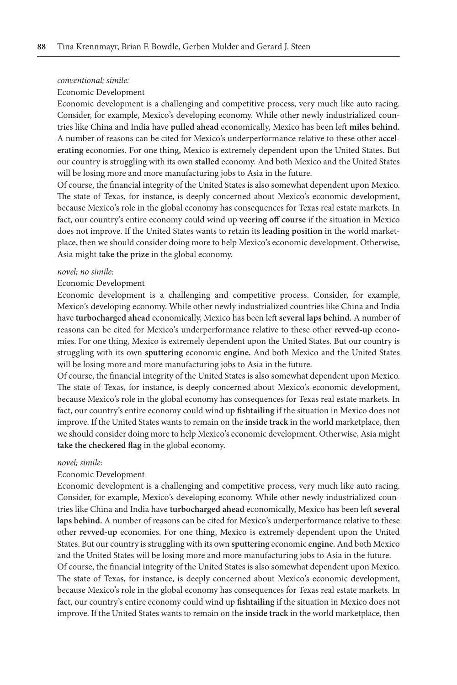#### *conventional; simile:*

## Economic Development

Economic development is a challenging and competitive process, very much like auto racing. Consider, for example, Mexico's developing economy. While other newly industrialized countries like China and India have **pulled ahead** economically, Mexico has been left **miles behind.** A number of reasons can be cited for Mexico's underperformance relative to these other **accelerating** economies. For one thing, Mexico is extremely dependent upon the United States. But our country is struggling with its own **stalled** economy. And both Mexico and the United States will be losing more and more manufacturing jobs to Asia in the future.

Of course, the financial integrity of the United States is also somewhat dependent upon Mexico. The state of Texas, for instance, is deeply concerned about Mexico's economic development, because Mexico's role in the global economy has consequences for Texas real estate markets. In fact, our country's entire economy could wind up **veering off course** if the situation in Mexico does not improve. If the United States wants to retain its **leading position** in the world marketplace, then we should consider doing more to help Mexico's economic development. Otherwise, Asia might **take the prize** in the global economy.

#### *novel; no simile:*

#### Economic Development

Economic development is a challenging and competitive process. Consider, for example, Mexico's developing economy. While other newly industrialized countries like China and India have **turbocharged ahead** economically, Mexico has been left **several laps behind.** A number of reasons can be cited for Mexico's underperformance relative to these other **revved-up** economies. For one thing, Mexico is extremely dependent upon the United States. But our country is struggling with its own **sputtering** economic **engine.** And both Mexico and the United States will be losing more and more manufacturing jobs to Asia in the future.

Of course, the financial integrity of the United States is also somewhat dependent upon Mexico. The state of Texas, for instance, is deeply concerned about Mexico's economic development, because Mexico's role in the global economy has consequences for Texas real estate markets. In fact, our country's entire economy could wind up **fishtailing** if the situation in Mexico does not improve. If the United States wants to remain on the **inside track** in the world marketplace, then we should consider doing more to help Mexico's economic development. Otherwise, Asia might **take the checkered flag** in the global economy.

#### *novel; simile:*

#### Economic Development

Economic development is a challenging and competitive process, very much like auto racing. Consider, for example, Mexico's developing economy. While other newly industrialized countries like China and India have **turbocharged ahead** economically, Mexico has been left **several laps behind.** A number of reasons can be cited for Mexico's underperformance relative to these other **revved-up** economies. For one thing, Mexico is extremely dependent upon the United States. But our country is struggling with its own **sputtering** economic **engine.** And both Mexico and the United States will be losing more and more manufacturing jobs to Asia in the future.

Of course, the financial integrity of the United States is also somewhat dependent upon Mexico. The state of Texas, for instance, is deeply concerned about Mexico's economic development, because Mexico's role in the global economy has consequences for Texas real estate markets. In fact, our country's entire economy could wind up **fishtailing** if the situation in Mexico does not improve. If the United States wants to remain on the **inside track** in the world marketplace, then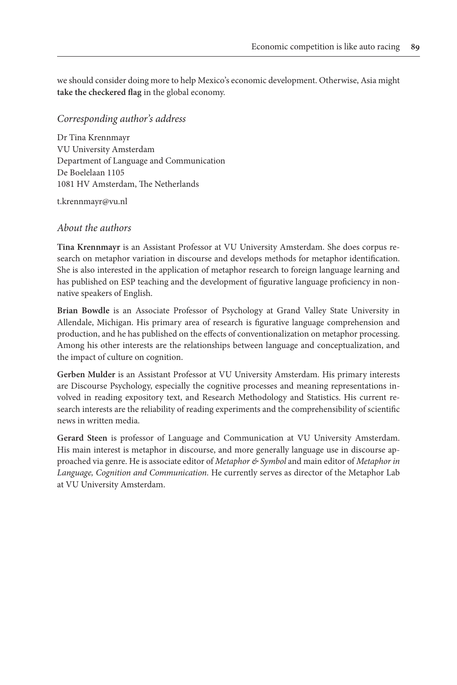we should consider doing more to help Mexico's economic development. Otherwise, Asia might **take the checkered flag** in the global economy.

## *Corresponding author's address*

Dr Tina Krennmayr VU University Amsterdam Department of Language and Communication De Boelelaan 1105 1081 HV Amsterdam, The Netherlands

[t.krennmayr@vu.nl](mailto:t.krennmayr@vu.nl)

## *About the authors*

**Tina Krennmayr** is an Assistant Professor at VU University Amsterdam. She does corpus research on metaphor variation in discourse and develops methods for metaphor identification. She is also interested in the application of metaphor research to foreign language learning and has published on ESP teaching and the development of figurative language proficiency in nonnative speakers of English.

**Brian Bowdle** is an Associate Professor of Psychology at Grand Valley State University in Allendale, Michigan. His primary area of research is figurative language comprehension and production, and he has published on the effects of conventionalization on metaphor processing. Among his other interests are the relationships between language and conceptualization, and the impact of culture on cognition.

**Gerben Mulder** is an Assistant Professor at VU University Amsterdam. His primary interests are Discourse Psychology, especially the cognitive processes and meaning representations involved in reading expository text, and Research Methodology and Statistics. His current research interests are the reliability of reading experiments and the comprehensibility of scientific news in written media.

**Gerard Steen** is professor of Language and Communication at VU University Amsterdam. His main interest is metaphor in discourse, and more generally language use in discourse approached via genre. He is associate editor of *Metaphor & Symbol* and main editor of *Metaphor in Language, Cognition and Communication.* He currently serves as director of the Metaphor Lab at VU University Amsterdam.